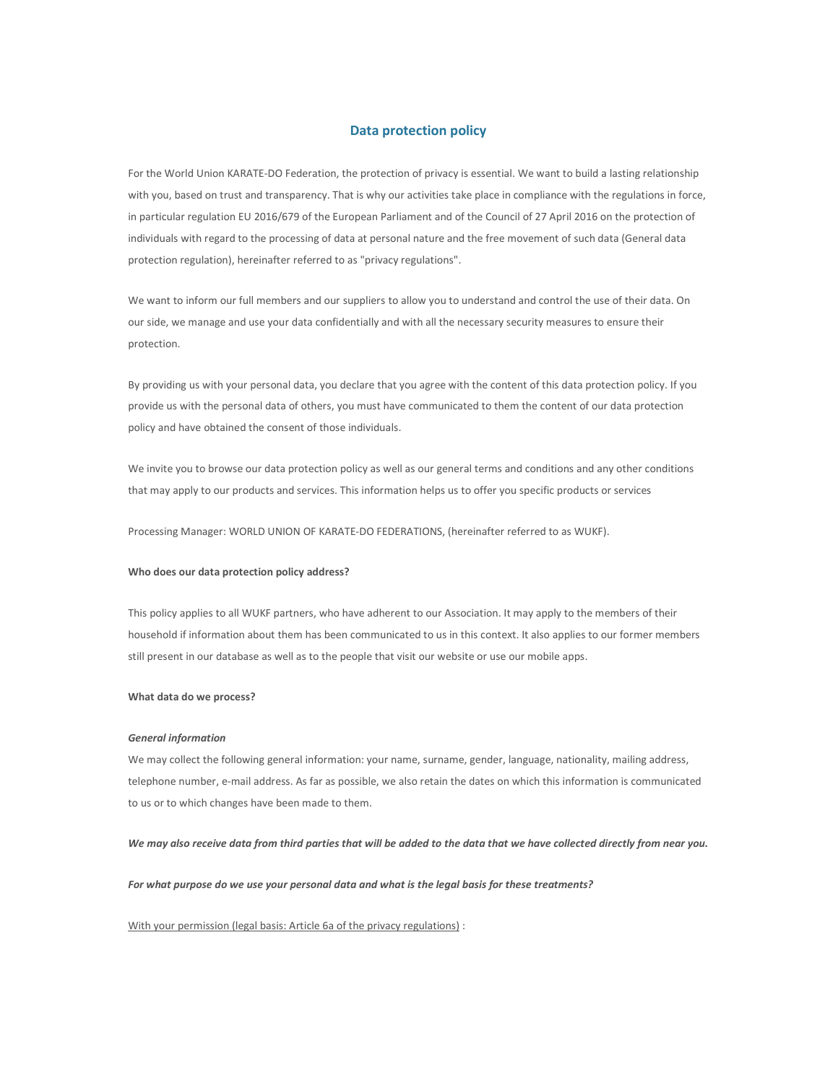# **Data protection policy**

For the World Union KARATE-DO Federation, the protection of privacy is essential. We want to build a lasting relationship with you, based on trust and transparency. That is why our activities take place in compliance with the regulations in force, in particular regulation EU 2016/679 of the European Parliament and of the Council of 27 April 2016 on the protection of individuals with regard to the processing of data at personal nature and the free movement of such data (General data protection regulation), hereinafter referred to as "privacy regulations".

We want to inform our full members and our suppliers to allow you to understand and control the use of their data. On our side, we manage and use your data confidentially and with all the necessary security measures to ensure their protection.

By providing us with your personal data, you declare that you agree with the content of this data protection policy. If you provide us with the personal data of others, you must have communicated to them the content of our data protection policy and have obtained the consent of those individuals.

We invite you to browse our data protection policy as well as our general terms and conditions and any other conditions that may apply to our products and services. This information helps us to offer you specific products or services

Processing Manager: WORLD UNION OF KARATE-DO FEDERATIONS, (hereinafter referred to as WUKF).

### **Who does our data protection policy address?**

This policy applies to all WUKF partners, who have adherent to our Association. It may apply to the members of their household if information about them has been communicated to us in this context. It also applies to our former members still present in our database as well as to the people that visit our website or use our mobile apps.

## **What data do we process?**

### *General information*

We may collect the following general information: your name, surname, gender, language, nationality, mailing address, telephone number, e-mail address. As far as possible, we also retain the dates on which this information is communicated to us or to which changes have been made to them.

*We may also receive data from third parties that will be added to the data that we have collected directly from near you.*

*For what purpose do we use your personal data and what is the legal basis for these treatments?*

With your permission (legal basis: Article 6a of the privacy regulations) :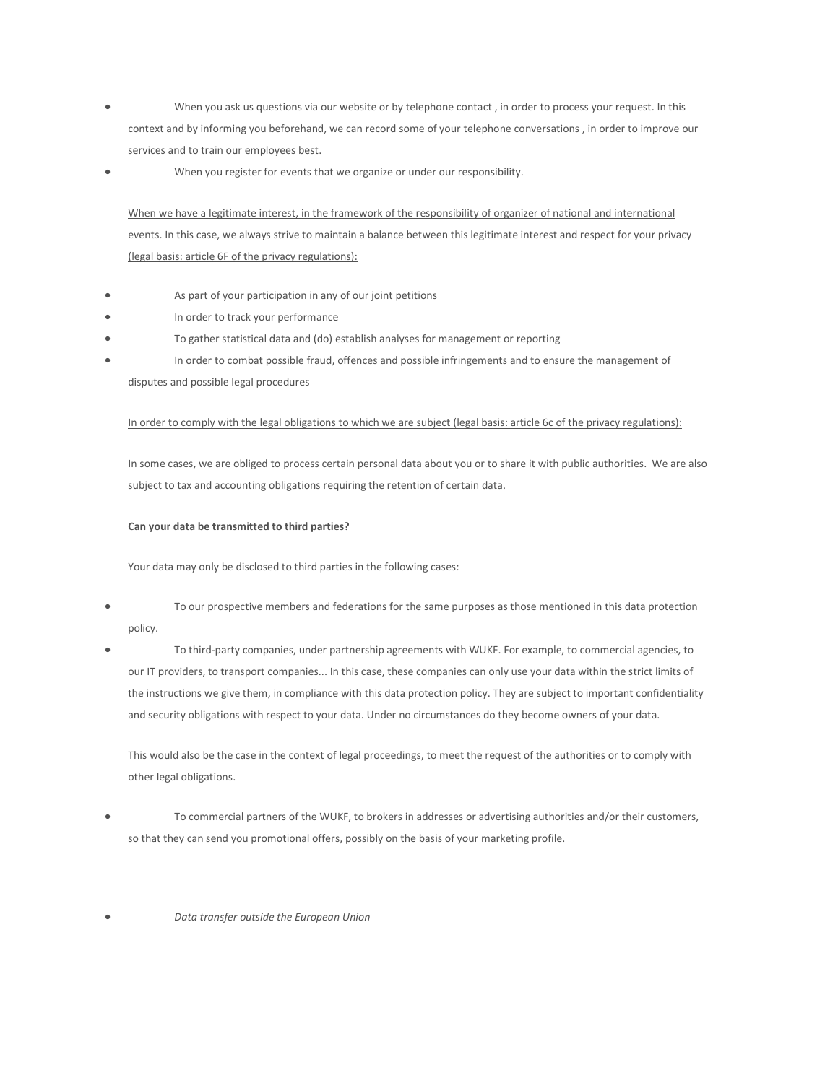- When you ask us questions via our website or by telephone contact , in order to process your request. In this context and by informing you beforehand, we can record some of your telephone conversations , in order to improve our services and to train our employees best.
- When you register for events that we organize or under our responsibility.

When we have a legitimate interest, in the framework of the responsibility of organizer of national and international events. In this case, we always strive to maintain a balance between this legitimate interest and respect for your privacy (legal basis: article 6F of the privacy regulations):

- As part of your participation in any of our joint petitions
- In order to track your performance
- To gather statistical data and (do) establish analyses for management or reporting
- In order to combat possible fraud, offences and possible infringements and to ensure the management of

disputes and possible legal procedures

## In order to comply with the legal obligations to which we are subject (legal basis: article 6c of the privacy regulations):

In some cases, we are obliged to process certain personal data about you or to share it with public authorities. We are also subject to tax and accounting obligations requiring the retention of certain data.

## **Can your data be transmitted to third parties?**

Your data may only be disclosed to third parties in the following cases:

- To our prospective members and federations for the same purposes as those mentioned in this data protection policy.
- To third-party companies, under partnership agreements with WUKF. For example, to commercial agencies, to our IT providers, to transport companies... In this case, these companies can only use your data within the strict limits of the instructions we give them, in compliance with this data protection policy. They are subject to important confidentiality and security obligations with respect to your data. Under no circumstances do they become owners of your data.

This would also be the case in the context of legal proceedings, to meet the request of the authorities or to comply with other legal obligations.

- To commercial partners of the WUKF, to brokers in addresses or advertising authorities and/or their customers, so that they can send you promotional offers, possibly on the basis of your marketing profile.
- *Data transfer outside the European Union*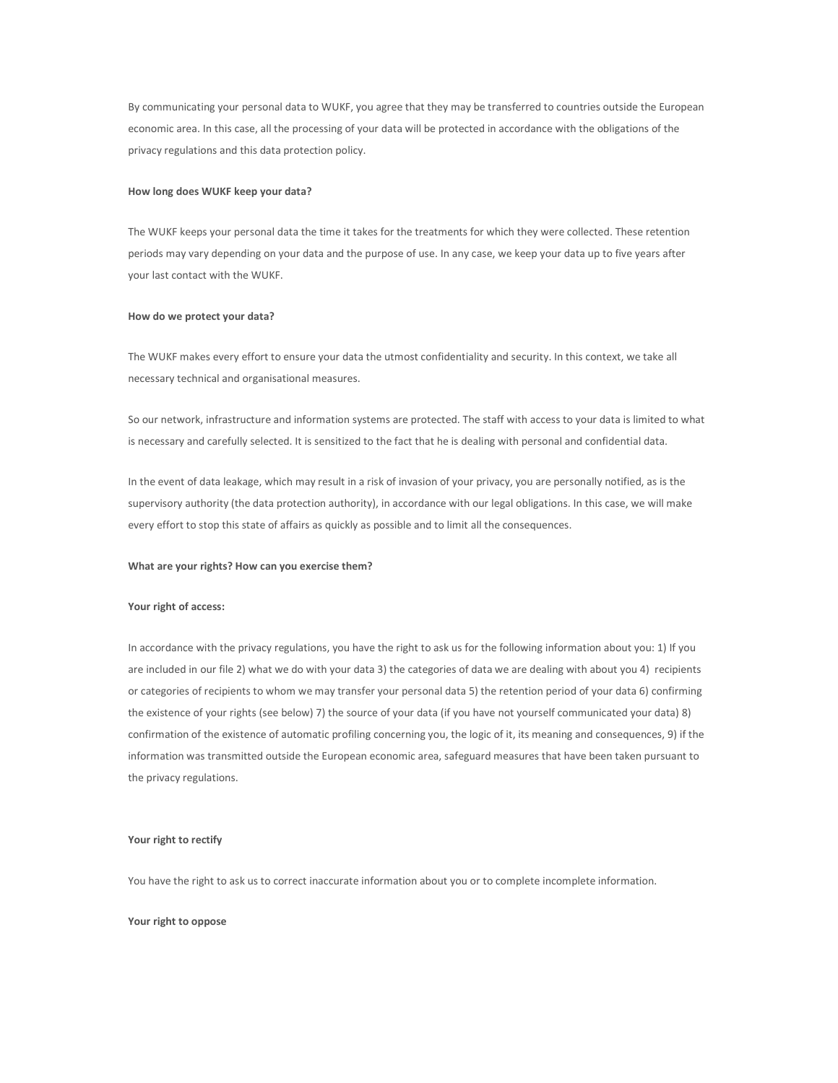By communicating your personal data to WUKF, you agree that they may be transferred to countries outside the European economic area. In this case, all the processing of your data will be protected in accordance with the obligations of the privacy regulations and this data protection policy.

#### **How long does WUKF keep your data?**

The WUKF keeps your personal data the time it takes for the treatments for which they were collected. These retention periods may vary depending on your data and the purpose of use. In any case, we keep your data up to five years after your last contact with the WUKF.

#### **How do we protect your data?**

The WUKF makes every effort to ensure your data the utmost confidentiality and security. In this context, we take all necessary technical and organisational measures.

So our network, infrastructure and information systems are protected. The staff with access to your data is limited to what is necessary and carefully selected. It is sensitized to the fact that he is dealing with personal and confidential data.

In the event of data leakage, which may result in a risk of invasion of your privacy, you are personally notified, as is the supervisory authority (the data protection authority), in accordance with our legal obligations. In this case, we will make every effort to stop this state of affairs as quickly as possible and to limit all the consequences.

#### **What are your rights? How can you exercise them?**

## **Your right of access:**

In accordance with the privacy regulations, you have the right to ask us for the following information about you: 1) If you are included in our file 2) what we do with your data 3) the categories of data we are dealing with about you 4) recipients or categories of recipients to whom we may transfer your personal data 5) the retention period of your data 6) confirming the existence of your rights (see below) 7) the source of your data (if you have not yourself communicated your data) 8) confirmation of the existence of automatic profiling concerning you, the logic of it, its meaning and consequences, 9) if the information was transmitted outside the European economic area, safeguard measures that have been taken pursuant to the privacy regulations.

## **Your right to rectify**

You have the right to ask us to correct inaccurate information about you or to complete incomplete information.

### **Your right to oppose**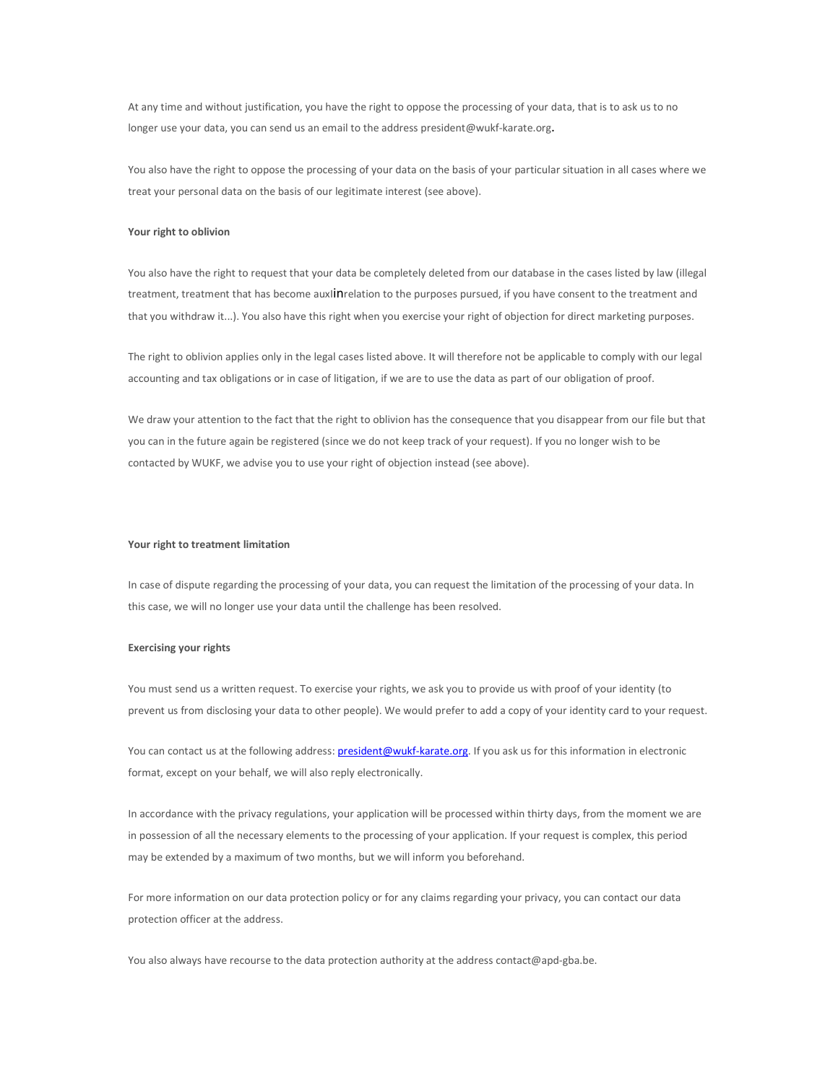At any time and without justification, you have the right to oppose the processing of your data, that is to ask us to no longer use your data, you can send us an email to the address president@wukf-karate.org.

You also have the right to oppose the processing of your data on the basis of your particular situation in all cases where we treat your personal data on the basis of our legitimate interest (see above).

## **Your right to oblivion**

You also have the right to request that your data be completely deleted from our database in the cases listed by law (illegal treatment, treatment that has become auxlinrelation to the purposes pursued, if you have consent to the treatment and that you withdraw it...). You also have this right when you exercise your right of objection for direct marketing purposes.

The right to oblivion applies only in the legal cases listed above. It will therefore not be applicable to comply with our legal accounting and tax obligations or in case of litigation, if we are to use the data as part of our obligation of proof.

We draw your attention to the fact that the right to oblivion has the consequence that you disappear from our file but that you can in the future again be registered (since we do not keep track of your request). If you no longer wish to be contacted by WUKF, we advise you to use your right of objection instead (see above).

### **Your right to treatment limitation**

In case of dispute regarding the processing of your data, you can request the limitation of the processing of your data. In this case, we will no longer use your data until the challenge has been resolved.

#### **Exercising your rights**

You must send us a written request. To exercise your rights, we ask you to provide us with proof of your identity (to prevent us from disclosing your data to other people). We would prefer to add a copy of your identity card to your request.

You can contact us at the following address: president@wukf-karate.org. If you ask us for this information in electronic format, except on your behalf, we will also reply electronically.

In accordance with the privacy regulations, your application will be processed within thirty days, from the moment we are in possession of all the necessary elements to the processing of your application. If your request is complex, this period may be extended by a maximum of two months, but we will inform you beforehand.

For more information on our data protection policy or for any claims regarding your privacy, you can contact our data protection officer at the address.

You also always have recourse to the data protection authority at the address contact@apd-gba.be.